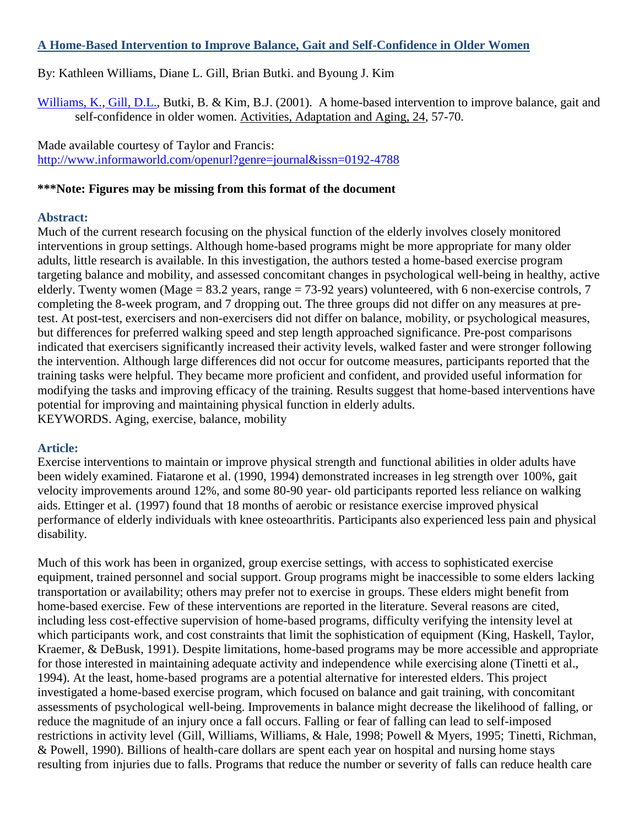#### **A Home-Based Intervention to Improve Balance, Gait and Self-Confidence in Older Women**

# By: Kathleen Williams, Diane L. Gill, Brian Butki. and Byoung J. Kim

[Williams, K.,](http://libres.uncg.edu/ir/uncg/clist.aspx?id=1569) [Gill, D.L.,](http://libres.uncg.edu/ir/uncg/clist.aspx?id=1410) Butki, B. & Kim, B.J. (2001). A home-based intervention to improve balance, gait and self-confidence in older women. Activities, Adaptation and Aging, 24, 57-70.

Made available courtesy of Taylor and Francis: <http://www.informaworld.com/openurl?genre=journal&issn=0192-4788>

#### **\*\*\*Note: Figures may be missing from this format of the document**

#### **Abstract:**

Much of the current research focusing on the physical function of the elderly involves closely monitored interventions in group settings. Although home-based programs might be more appropriate for many older adults, little research is available. In this investigation, the authors tested a home-based exercise program targeting balance and mobility, and assessed concomitant changes in psychological well-being in healthy, active elderly. Twenty women (Mage = 83.2 years, range = 73-92 years) volunteered, with 6 non-exercise controls, 7 completing the 8-week program, and 7 dropping out. The three groups did not differ on any measures at pretest. At post-test, exercisers and non-exercisers did not differ on balance, mobility, or psychological measures, but differences for preferred walking speed and step length approached significance. Pre-post comparisons indicated that exercisers significantly increased their activity levels, walked faster and were stronger following the intervention. Although large differences did not occur for outcome measures, participants reported that the training tasks were helpful. They became more proficient and confident, and provided useful information for modifying the tasks and improving efficacy of the training. Results suggest that home-based interventions have potential for improving and maintaining physical function in elderly adults. KEYWORDS. Aging, exercise, balance, mobility

#### **Article:**

Exercise interventions to maintain or improve physical strength and functional abilities in older adults have been widely examined. Fiatarone et al. (1990, 1994) demonstrated increases in leg strength over 100%, gait velocity improvements around 12%, and some 80-90 year- old participants reported less reliance on walking aids. Ettinger et al. (1997) found that 18 months of aerobic or resistance exercise improved physical performance of elderly individuals with knee osteoarthritis. Participants also experienced less pain and physical disability.

Much of this work has been in organized, group exercise settings, with access to sophisticated exercise equipment, trained personnel and social support. Group programs might be inaccessible to some elders lacking transportation or availability; others may prefer not to exercise in groups. These elders might benefit from home-based exercise. Few of these interventions are reported in the literature. Several reasons are cited, including less cost-effective supervision of home-based programs, difficulty verifying the intensity level at which participants work, and cost constraints that limit the sophistication of equipment (King, Haskell, Taylor, Kraemer, & DeBusk, 1991). Despite limitations, home-based programs may be more accessible and appropriate for those interested in maintaining adequate activity and independence while exercising alone (Tinetti et al., 1994). At the least, home-based programs are a potential alternative for interested elders. This project investigated a home-based exercise program, which focused on balance and gait training, with concomitant assessments of psychological well-being. Improvements in balance might decrease the likelihood of falling, or reduce the magnitude of an injury once a fall occurs. Falling or fear of falling can lead to self-imposed restrictions in activity level (Gill, Williams, Williams, & Hale, 1998; Powell & Myers, 1995; Tinetti, Richman, & Powell, 1990). Billions of health-care dollars are spent each year on hospital and nursing home stays resulting from injuries due to falls. Programs that reduce the number or severity of falls can reduce health care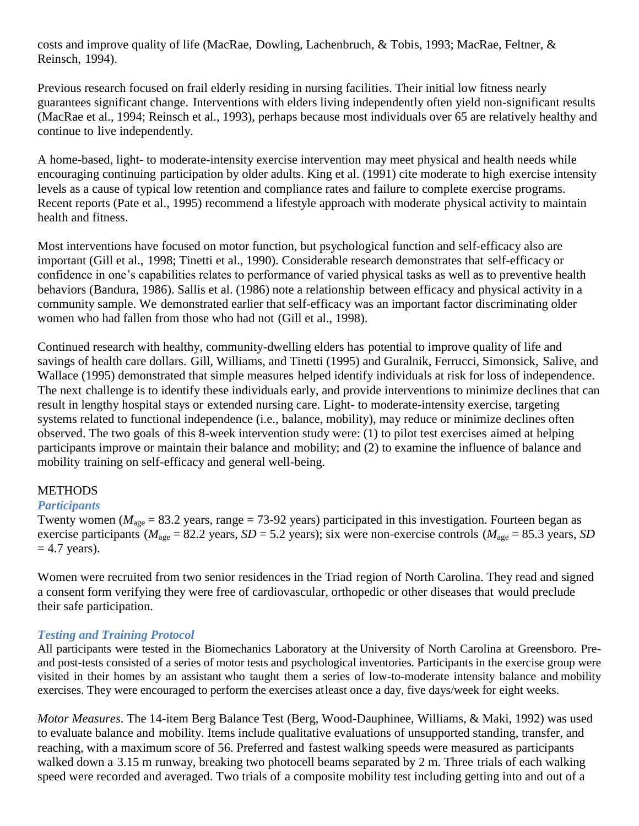costs and improve quality of life (MacRae, Dowling, Lachenbruch, & Tobis, 1993; MacRae, Feltner, & Reinsch, 1994).

Previous research focused on frail elderly residing in nursing facilities. Their initial low fitness nearly guarantees significant change. Interventions with elders living independently often yield non-significant results (MacRae et al., 1994; Reinsch et al., 1993), perhaps because most individuals over 65 are relatively healthy and continue to live independently.

A home-based, light- to moderate-intensity exercise intervention may meet physical and health needs while encouraging continuing participation by older adults. King et al. (1991) cite moderate to high exercise intensity levels as a cause of typical low retention and compliance rates and failure to complete exercise programs. Recent reports (Pate et al., 1995) recommend a lifestyle approach with moderate physical activity to maintain health and fitness.

Most interventions have focused on motor function, but psychological function and self-efficacy also are important (Gill et al., 1998; Tinetti et al., 1990). Considerable research demonstrates that self-efficacy or confidence in one's capabilities relates to performance of varied physical tasks as well as to preventive health behaviors (Bandura, 1986). Sallis et al. (1986) note a relationship between efficacy and physical activity in a community sample. We demonstrated earlier that self-efficacy was an important factor discriminating older women who had fallen from those who had not (Gill et al., 1998).

Continued research with healthy, community-dwelling elders has potential to improve quality of life and savings of health care dollars. Gill, Williams, and Tinetti (1995) and Guralnik, Ferrucci, Simonsick, Salive, and Wallace (1995) demonstrated that simple measures helped identify individuals at risk for loss of independence. The next challenge is to identify these individuals early, and provide interventions to minimize declines that can result in lengthy hospital stays or extended nursing care. Light- to moderate-intensity exercise, targeting systems related to functional independence (i.e., balance, mobility), may reduce or minimize declines often observed. The two goals of this 8-week intervention study were: (1) to pilot test exercises aimed at helping participants improve or maintain their balance and mobility; and (2) to examine the influence of balance and mobility training on self-efficacy and general well-being.

# **METHODS**

# *Participants*

Twenty women ( $M_{\text{age}} = 83.2$  years, range = 73-92 years) participated in this investigation. Fourteen began as exercise participants ( $M_{\text{age}} = 82.2$  years,  $SD = 5.2$  years); six were non-exercise controls ( $M_{\text{age}} = 85.3$  years, *SD*  $= 4.7$  years).

Women were recruited from two senior residences in the Triad region of North Carolina. They read and signed a consent form verifying they were free of cardiovascular, orthopedic or other diseases that would preclude their safe participation.

# *Testing and Training Protocol*

All participants were tested in the Biomechanics Laboratory at the University of North Carolina at Greensboro. Preand post-tests consisted of a series of motor tests and psychological inventories. Participants in the exercise group were visited in their homes by an assistant who taught them a series of low-to-moderate intensity balance and mobility exercises. They were encouraged to perform the exercises atleast once a day, five days/week for eight weeks.

*Motor Measures*. The 14-item Berg Balance Test (Berg, Wood-Dauphinee, Williams, & Maki, 1992) was used to evaluate balance and mobility. Items include qualitative evaluations of unsupported standing, transfer, and reaching, with a maximum score of 56. Preferred and fastest walking speeds were measured as participants walked down a 3.15 m runway, breaking two photocell beams separated by 2 m. Three trials of each walking speed were recorded and averaged. Two trials of a composite mobility test including getting into and out of a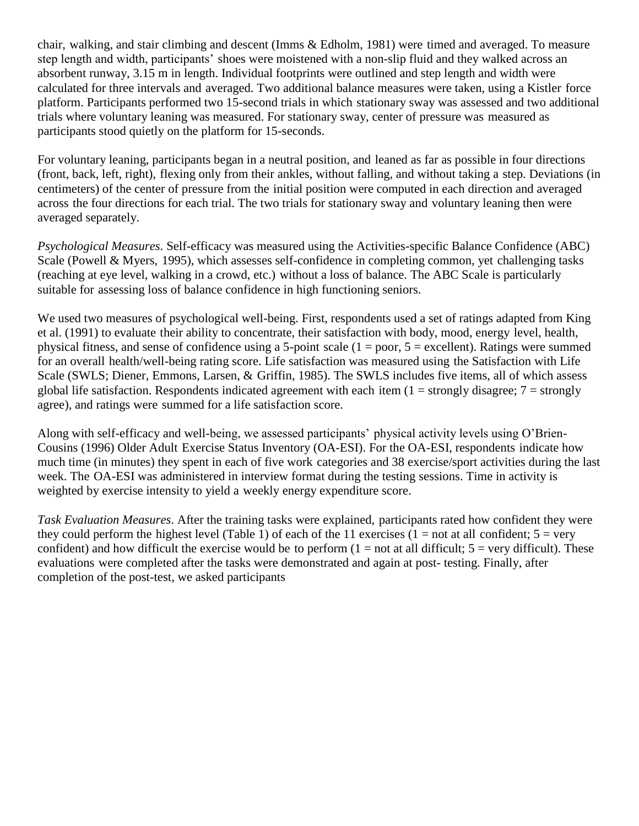chair, walking, and stair climbing and descent (Imms & Edholm, 1981) were timed and averaged. To measure step length and width, participants' shoes were moistened with a non-slip fluid and they walked across an absorbent runway, 3.15 m in length. Individual footprints were outlined and step length and width were calculated for three intervals and averaged. Two additional balance measures were taken, using a Kistler force platform. Participants performed two 15-second trials in which stationary sway was assessed and two additional trials where voluntary leaning was measured. For stationary sway, center of pressure was measured as participants stood quietly on the platform for 15-seconds.

For voluntary leaning, participants began in a neutral position, and leaned as far as possible in four directions (front, back, left, right), flexing only from their ankles, without falling, and without taking a step. Deviations (in centimeters) of the center of pressure from the initial position were computed in each direction and averaged across the four directions for each trial. The two trials for stationary sway and voluntary leaning then were averaged separately.

*Psychological Measures*. Self-efficacy was measured using the Activities-specific Balance Confidence (ABC) Scale (Powell & Myers, 1995), which assesses self-confidence in completing common, yet challenging tasks (reaching at eye level, walking in a crowd, etc.) without a loss of balance. The ABC Scale is particularly suitable for assessing loss of balance confidence in high functioning seniors.

We used two measures of psychological well-being. First, respondents used a set of ratings adapted from King et al. (1991) to evaluate their ability to concentrate, their satisfaction with body, mood, energy level, health, physical fitness, and sense of confidence using a 5-point scale  $(1 = poor, 5 = excellent)$ . Ratings were summed for an overall health/well-being rating score. Life satisfaction was measured using the Satisfaction with Life Scale (SWLS; Diener, Emmons, Larsen, & Griffin, 1985). The SWLS includes five items, all of which assess global life satisfaction. Respondents indicated agreement with each item  $(1 =$  strongly disagree;  $7 =$  strongly agree), and ratings were summed for a life satisfaction score.

Along with self-efficacy and well-being, we assessed participants' physical activity levels using O'Brien-Cousins (1996) Older Adult Exercise Status Inventory (OA-ESI). For the OA-ESI, respondents indicate how much time (in minutes) they spent in each of five work categories and 38 exercise/sport activities during the last week. The OA-ESI was administered in interview format during the testing sessions. Time in activity is weighted by exercise intensity to yield a weekly energy expenditure score.

*Task Evaluation Measures*. After the training tasks were explained, participants rated how confident they were they could perform the highest level (Table 1) of each of the 11 exercises (1 = not at all confident;  $5 = \text{very}$ confident) and how difficult the exercise would be to perform  $(1 = not at all difficult; 5 = very difficult)$ . These evaluations were completed after the tasks were demonstrated and again at post- testing. Finally, after completion of the post-test, we asked participants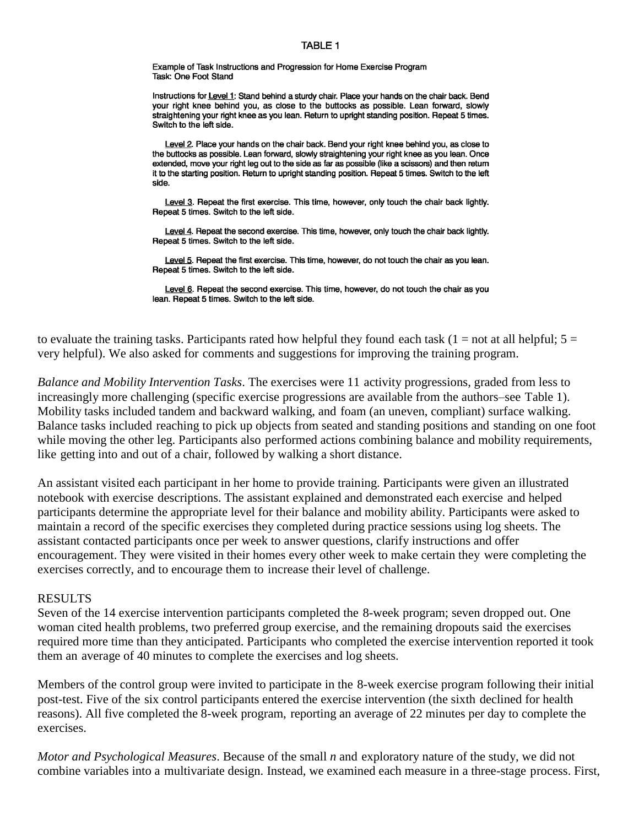#### **TABLE 1**

Example of Task Instructions and Progression for Home Exercise Program Task: One Foot Stand

Instructions for Level 1: Stand behind a sturdy chair. Place your hands on the chair back. Bend your right knee behind you, as close to the buttocks as possible. Lean forward, slowly straightening your right knee as you lean. Return to upright standing position. Repeat 5 times. Switch to the left side.

Level 2. Place your hands on the chair back. Bend your right knee behind you, as close to the buttocks as possible. Lean forward, slowly straightening your right knee as you lean. Once extended, move your right leg out to the side as far as possible (like a scissors) and then return it to the starting position. Return to upright standing position. Repeat 5 times. Switch to the left side.

Level 3. Repeat the first exercise. This time, however, only touch the chair back lightly. Repeat 5 times. Switch to the left side.

Level 4. Repeat the second exercise. This time, however, only touch the chair back lightly. Repeat 5 times. Switch to the left side.

Level 5. Repeat the first exercise. This time, however, do not touch the chair as you lean. Repeat 5 times. Switch to the left side.

Level 6. Repeat the second exercise. This time, however, do not touch the chair as you lean. Repeat 5 times. Switch to the left side.

to evaluate the training tasks. Participants rated how helpful they found each task ( $1 = not$  at all helpful;  $5 =$ very helpful). We also asked for comments and suggestions for improving the training program.

*Balance and Mobility Intervention Tasks*. The exercises were 11 activity progressions, graded from less to increasingly more challenging (specific exercise progressions are available from the authors–see Table 1). Mobility tasks included tandem and backward walking, and foam (an uneven, compliant) surface walking. Balance tasks included reaching to pick up objects from seated and standing positions and standing on one foot while moving the other leg. Participants also performed actions combining balance and mobility requirements, like getting into and out of a chair, followed by walking a short distance.

An assistant visited each participant in her home to provide training. Participants were given an illustrated notebook with exercise descriptions. The assistant explained and demonstrated each exercise and helped participants determine the appropriate level for their balance and mobility ability. Participants were asked to maintain a record of the specific exercises they completed during practice sessions using log sheets. The assistant contacted participants once per week to answer questions, clarify instructions and offer encouragement. They were visited in their homes every other week to make certain they were completing the exercises correctly, and to encourage them to increase their level of challenge.

#### RESULTS

Seven of the 14 exercise intervention participants completed the 8-week program; seven dropped out. One woman cited health problems, two preferred group exercise, and the remaining dropouts said the exercises required more time than they anticipated. Participants who completed the exercise intervention reported it took them an average of 40 minutes to complete the exercises and log sheets.

Members of the control group were invited to participate in the 8-week exercise program following their initial post-test. Five of the six control participants entered the exercise intervention (the sixth declined for health reasons). All five completed the 8-week program, reporting an average of 22 minutes per day to complete the exercises.

*Motor and Psychological Measures*. Because of the small *n* and exploratory nature of the study, we did not combine variables into a multivariate design. Instead, we examined each measure in a three-stage process. First,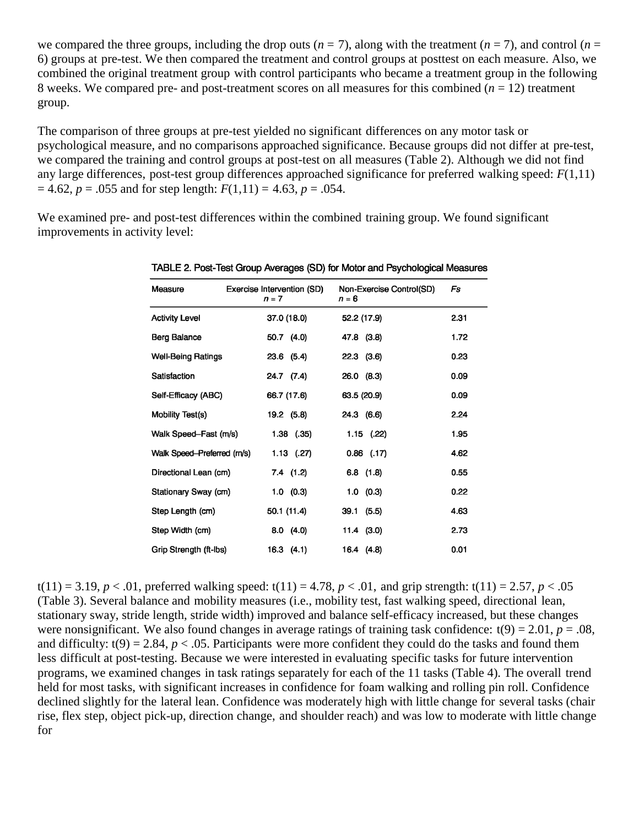we compared the three groups, including the drop outs  $(n = 7)$ , along with the treatment  $(n = 7)$ , and control  $(n = 7)$ 6) groups at pre-test. We then compared the treatment and control groups at posttest on each measure. Also, we combined the original treatment group with control participants who became a treatment group in the following 8 weeks. We compared pre- and post-treatment scores on all measures for this combined  $(n = 12)$  treatment group.

The comparison of three groups at pre-test yielded no significant differences on any motor task or psychological measure, and no comparisons approached significance. Because groups did not differ at pre-test, we compared the training and control groups at post-test on all measures (Table 2). Although we did not find any large differences, post-test group differences approached significance for preferred walking speed: *F*(1,11)  $= 4.62, p = .055$  and for step length:  $F(1,11) = 4.63, p = .054$ .

We examined pre- and post-test differences within the combined training group. We found significant improvements in activity level:

| Measure                     | Exercise Intervention (SD)<br>$n = 7$ | Non-Exercise Control(SD)<br>$n = 6$ | Fs   |
|-----------------------------|---------------------------------------|-------------------------------------|------|
| <b>Activity Level</b>       | 37.0 (18.0)                           | 52.2 (17.9)                         | 2.31 |
| Berg Balance                | 50.7 (4.0)                            | 47.8 (3.8)                          | 1.72 |
| <b>Well-Being Ratings</b>   | $23.6$ (5.4)                          | $22.3$ $(3.6)$                      | 0.23 |
| Satisfaction                | 24.7 (7.4)                            | $26.0$ $(8.3)$                      | 0.09 |
| Self-Efficacy (ABC)         | 66.7 (17.6)                           | 63.5 (20.9)                         | 0.09 |
| Mobility Test(s)            | 19.2 (5.8)                            | 24.3 (6.6)                          | 2.24 |
| Walk Speed-Fast (m/s)       | $1.38$ $(.35)$                        | $1.15$ (.22)                        | 1.95 |
| Walk Speed-Preferred (rn/s) | 1.13(27)                              | $0.86$ (.17)                        | 4.62 |
| Directional Lean (cm)       | 7.4(1.2)                              | $6.8$ $(1.8)$                       | 0.55 |
| Stationary Sway (cm)        | $1.0 \quad (0.3)$                     | 1.0 (0.3)                           | 0.22 |
| Step Length (cm)            | 50.1 (11.4)                           | 39.1 (5.5)                          | 4.63 |
| Step Width (cm)             | 8.0(4.0)                              | $11.4$ (3.0)                        | 2.73 |
| Grip Strength (ft-Ibs)      | 16.3(4.1)                             | 16.4 (4.8)                          | 0.01 |

TABLE 2. Post-Test Group Averages (SD) for Motor and Psychological Measures

t(11) = 3.19, *p* < .01, preferred walking speed: t(11) = 4.78, *p* < .01, and grip strength: t(11) = 2.57, *p* < .05 (Table 3). Several balance and mobility measures (i.e., mobility test, fast walking speed, directional lean, stationary sway, stride length, stride width) improved and balance self-efficacy increased, but these changes were nonsignificant. We also found changes in average ratings of training task confidence:  $t(9) = 2.01$ ,  $p = .08$ , and difficulty:  $t(9) = 2.84$ ,  $p < .05$ . Participants were more confident they could do the tasks and found them less difficult at post-testing. Because we were interested in evaluating specific tasks for future intervention programs, we examined changes in task ratings separately for each of the 11 tasks (Table 4). The overall trend held for most tasks, with significant increases in confidence for foam walking and rolling pin roll. Confidence declined slightly for the lateral lean. Confidence was moderately high with little change for several tasks (chair rise, flex step, object pick-up, direction change, and shoulder reach) and was low to moderate with little change for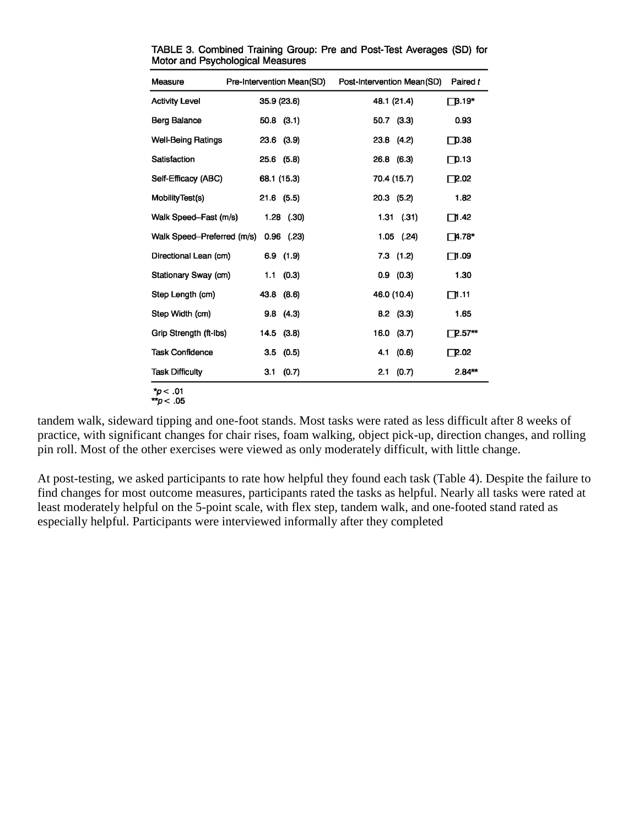| Measure                    | Pre-Intervention Mean(SD) | Post-Intervention Mean(SD) | Paired t      |
|----------------------------|---------------------------|----------------------------|---------------|
| <b>Activity Level</b>      | 35.9 (23.6)               | 48.1 (21.4)                | $\Box$ B.19*  |
| <b>Berg Balance</b>        | $50.8$ $(3.1)$            | 50.7 (3.3)                 | 0.93          |
| <b>Well-Being Ratings</b>  | $23.6$ $(3.9)$            | 23.8 (4.2)                 | $\Box$ D.38   |
| Satisfaction               | $25.6$ $(5.8)$            | 26.8 (6.3)                 | $\Box$ p.13   |
| Self-Efficacy (ABC)        | 68.1 (15.3)               | 70.4 (15.7)                | $\Box$ 2.02   |
| MobilityTest(s)            | $21.6$ (5.5)              | 20.3 (5.2)                 | 1.82          |
| Walk Speed-Fast (m/s)      | $1.28$ (.30)              | $1.31$ (.31)               | ∏1.42         |
| Walk Speed-Preferred (m/s) | $0.96$ (.23)              | $1.05$ (.24)               | ∏4.78*        |
| Directional Lean (cm)      | $6.9$ $(1.9)$             | $7.3$ $(1.2)$              | $\Box$ 1.09   |
| Stationary Sway (cm)       | 1.1(0.3)                  | $0.9$ $(0.3)$              | 1.30          |
| Step Length (cm)           | (8.6)<br>43.8             | 46.0 (10.4)                | $\Box$ 11     |
| Step Width (cm)            | 9.8(4.3)                  | $8.2$ (3.3)                | 1.65          |
| Grip Strength (ft-Ibs)     | $14.5$ $(3.8)$            | $16.0$ (3.7)               | $\Box$ 2.57** |
| Task Confidence            | $3.5$ $(0.5)$             | (0.6)<br>4.1               | $\Gamma$ 2.02 |
| <b>Task Difficulty</b>     | (0.7)<br>3.1              | (0.7)<br>2.1               | $2.84**$      |

TABLE 3. Combined Training Group: Pre and Post-Test Averages (SD) for Motor and Psychological Measures

\* $p < .01$ <br>\*\* $p < .05$ 

tandem walk, sideward tipping and one-foot stands. Most tasks were rated as less difficult after 8 weeks of practice, with significant changes for chair rises, foam walking, object pick-up, direction changes, and rolling pin roll. Most of the other exercises were viewed as only moderately difficult, with little change.

At post-testing, we asked participants to rate how helpful they found each task (Table 4). Despite the failure to find changes for most outcome measures, participants rated the tasks as helpful. Nearly all tasks were rated at least moderately helpful on the 5-point scale, with flex step, tandem walk, and one-footed stand rated as especially helpful. Participants were interviewed informally after they completed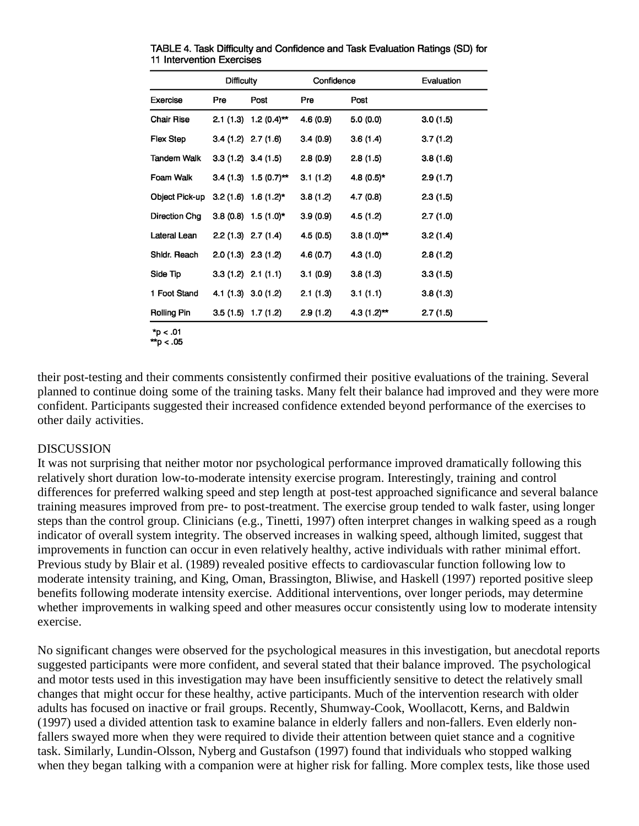|                    | Difficulty            |                           | Confidence |               | Evaluation |
|--------------------|-----------------------|---------------------------|------------|---------------|------------|
| Exercise           | Pre                   | Post                      | Pre        | Post          |            |
| <b>Chair Rise</b>  |                       | $2.1(1.3) 1.2(0.4)$ **    | 4.6(0.9)   | 5.0 (0.0)     | 3.0(1.5)   |
| <b>Flex Step</b>   | $3.4(1.2)$ $2.7(1.6)$ |                           | 3.4(0.9)   | 3.6(1.4)      | 3.7(1.2)   |
| Tandem Walk        |                       | $3.3(1.2)$ $3.4(1.5)$     | 2.8(0.9)   | 2.8(1.5)      | 3.8(1.6)   |
| Foam Walk          |                       | $3.4(1.3)$ 1.5 $(0.7)$ ** | 3.1(1.2)   | $4.8(0.5)*$   | 2.9(1.7)   |
| Object Pick-up     |                       | $3.2(1.6)$ 1.6 $(1.2)^*$  | 3.8(1.2)   | 4.7(0.8)      | 2.3(1.5)   |
| Direction Chg      |                       | $3.8(0.8)$ 1.5 $(1.0)^*$  | 3.9(0.9)   | 4.5 (1.2)     | 2.7(1.0)   |
| Lateral Lean       |                       | $2.2(1.3)$ $2.7(1.4)$     | 4.5 (0.5)  | $3.8(1.0)$ ** | 3.2(1.4)   |
| Shidr. Reach       | $2.0(1.3)$ $2.3(1.2)$ |                           | 4.6(0.7)   | 4.3 (1.0)     | 2.8(1.2)   |
| Side Tip           | $3.3(1.2)$ $2.1(1.1)$ |                           | 3.1(0.9)   | 3.8(1.3)      | 3.3(1.5)   |
| 1 Foot Stand       |                       | $4.1(1.3)$ 3.0 (1.2)      | 2.1(1.3)   | 3.1(1.1)      | 3.8(1.3)   |
| <b>Rolling Pin</b> |                       | $3.5(1.5)$ 1.7 (1.2)      | 2.9(1.2)   | $4.3(1.2)$ ** | 2.7(1.5)   |

TABLE 4. Task Difficulty and Confidence and Task Evaluation Ratings (SD) for 11 Intervention Exercises

 $*_{p}$  < .01  $*$ p < .05

their post-testing and their comments consistently confirmed their positive evaluations of the training. Several planned to continue doing some of the training tasks. Many felt their balance had improved and they were more confident. Participants suggested their increased confidence extended beyond performance of the exercises to other daily activities.

# DISCUSSION

It was not surprising that neither motor nor psychological performance improved dramatically following this relatively short duration low-to-moderate intensity exercise program. Interestingly, training and control differences for preferred walking speed and step length at post-test approached significance and several balance training measures improved from pre- to post-treatment. The exercise group tended to walk faster, using longer steps than the control group. Clinicians (e.g., Tinetti, 1997) often interpret changes in walking speed as a rough indicator of overall system integrity. The observed increases in walking speed, although limited, suggest that improvements in function can occur in even relatively healthy, active individuals with rather minimal effort. Previous study by Blair et al. (1989) revealed positive effects to cardiovascular function following low to moderate intensity training, and King, Oman, Brassington, Bliwise, and Haskell (1997) reported positive sleep benefits following moderate intensity exercise. Additional interventions, over longer periods, may determine whether improvements in walking speed and other measures occur consistently using low to moderate intensity exercise.

No significant changes were observed for the psychological measures in this investigation, but anecdotal reports suggested participants were more confident, and several stated that their balance improved. The psychological and motor tests used in this investigation may have been insufficiently sensitive to detect the relatively small changes that might occur for these healthy, active participants. Much of the intervention research with older adults has focused on inactive or frail groups. Recently, Shumway-Cook, Woollacott, Kerns, and Baldwin (1997) used a divided attention task to examine balance in elderly fallers and non-fallers. Even elderly nonfallers swayed more when they were required to divide their attention between quiet stance and a cognitive task. Similarly, Lundin-Olsson, Nyberg and Gustafson (1997) found that individuals who stopped walking when they began talking with a companion were at higher risk for falling. More complex tests, like those used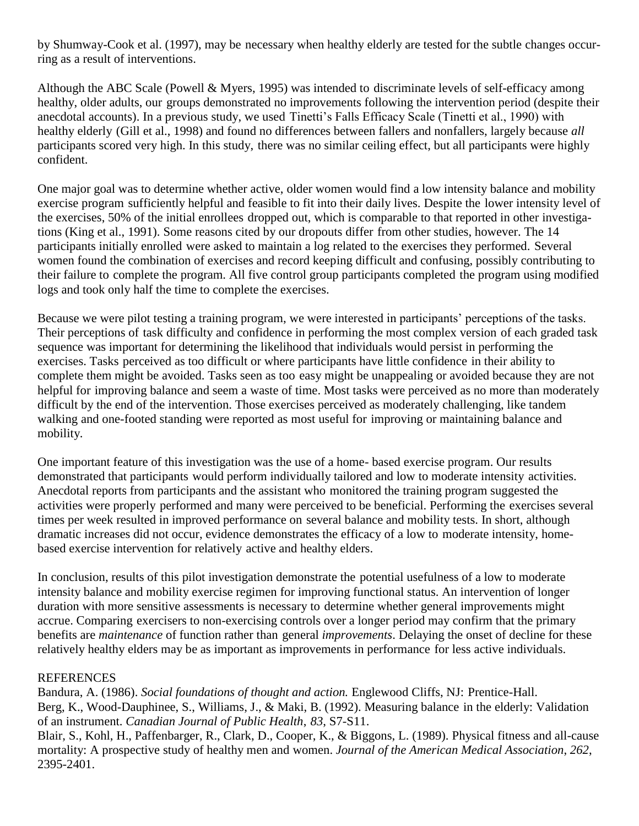by Shumway-Cook et al. (1997), may be necessary when healthy elderly are tested for the subtle changes occurring as a result of interventions.

Although the ABC Scale (Powell & Myers, 1995) was intended to discriminate levels of self-efficacy among healthy, older adults, our groups demonstrated no improvements following the intervention period (despite their anecdotal accounts). In a previous study, we used Tinetti's Falls Efficacy Scale (Tinetti et al., 1990) with healthy elderly (Gill et al., 1998) and found no differences between fallers and nonfallers, largely because *all* participants scored very high. In this study, there was no similar ceiling effect, but all participants were highly confident.

One major goal was to determine whether active, older women would find a low intensity balance and mobility exercise program sufficiently helpful and feasible to fit into their daily lives. Despite the lower intensity level of the exercises, 50% of the initial enrollees dropped out, which is comparable to that reported in other investigations (King et al., 1991). Some reasons cited by our dropouts differ from other studies, however. The 14 participants initially enrolled were asked to maintain a log related to the exercises they performed. Several women found the combination of exercises and record keeping difficult and confusing, possibly contributing to their failure to complete the program. All five control group participants completed the program using modified logs and took only half the time to complete the exercises.

Because we were pilot testing a training program, we were interested in participants' perceptions of the tasks. Their perceptions of task difficulty and confidence in performing the most complex version of each graded task sequence was important for determining the likelihood that individuals would persist in performing the exercises. Tasks perceived as too difficult or where participants have little confidence in their ability to complete them might be avoided. Tasks seen as too easy might be unappealing or avoided because they are not helpful for improving balance and seem a waste of time. Most tasks were perceived as no more than moderately difficult by the end of the intervention. Those exercises perceived as moderately challenging, like tandem walking and one-footed standing were reported as most useful for improving or maintaining balance and mobility.

One important feature of this investigation was the use of a home- based exercise program. Our results demonstrated that participants would perform individually tailored and low to moderate intensity activities. Anecdotal reports from participants and the assistant who monitored the training program suggested the activities were properly performed and many were perceived to be beneficial. Performing the exercises several times per week resulted in improved performance on several balance and mobility tests. In short, although dramatic increases did not occur, evidence demonstrates the efficacy of a low to moderate intensity, homebased exercise intervention for relatively active and healthy elders.

In conclusion, results of this pilot investigation demonstrate the potential usefulness of a low to moderate intensity balance and mobility exercise regimen for improving functional status. An intervention of longer duration with more sensitive assessments is necessary to determine whether general improvements might accrue. Comparing exercisers to non-exercising controls over a longer period may confirm that the primary benefits are *maintenance* of function rather than general *improvements*. Delaying the onset of decline for these relatively healthy elders may be as important as improvements in performance for less active individuals.

# **REFERENCES**

Bandura, A. (1986). *Social foundations of thought and action.* Englewood Cliffs, NJ: Prentice-Hall. Berg, K., Wood-Dauphinee, S., Williams, J., & Maki, B. (1992). Measuring balance in the elderly: Validation of an instrument. *Canadian Journal of Public Health*, *83*, S7-S11.

Blair, S., Kohl, H., Paffenbarger, R., Clark, D., Cooper, K., & Biggons, L. (1989). Physical fitness and all-cause mortality: A prospective study of healthy men and women. *Journal of the American Medical Association*, *262*, 2395-2401.